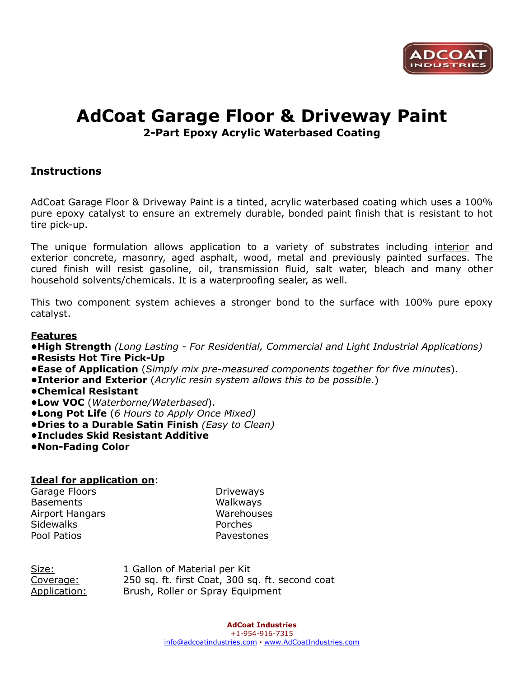

# **AdCoat Garage Floor & Driveway Paint**

**2-Part Epoxy Acrylic Waterbased Coating**

# **Instructions**

AdCoat Garage Floor & Driveway Paint is a tinted, acrylic waterbased coating which uses a 100% pure epoxy catalyst to ensure an extremely durable, bonded paint finish that is resistant to hot tire pick-up.

The unique formulation allows application to a variety of substrates including interior and exterior concrete, masonry, aged asphalt, wood, metal and previously painted surfaces. The cured finish will resist gasoline, oil, transmission fluid, salt water, bleach and many other household solvents/chemicals. It is a waterproofing sealer, as well.

This two component system achieves a stronger bond to the surface with 100% pure epoxy catalyst.

# **Features**

**•High Strength** *(Long Lasting - For Residential, Commercial and Light Industrial Applications)*

**•Resists Hot Tire Pick-Up** 

**•Ease of Application** (*Simply mix pre-measured components together for five minutes*).

- **•Interior and Exterior** (*Acrylic resin system allows this to be possible*.)
- **•Chemical Resistant**
- **•Low VOC** (*Waterborne/Waterbased*).
- **•Long Pot Life** (*6 Hours to Apply Once Mixed)*
- **•Dries to a Durable Satin Finish** *(Easy to Clean)*
- **•Includes Skid Resistant Additive**
- **•Non-Fading Color**

### **Ideal for application on**:

Garage Floors **Driveways** Basements Walkways Airport Hangars Warehouses Sidewalks **Porches** Pool Patios **Pavestones** 

Size: 1 Gallon of Material per Kit Coverage: 250 sq. ft. first Coat, 300 sq. ft. second coat Application: Brush, Roller or Spray Equipment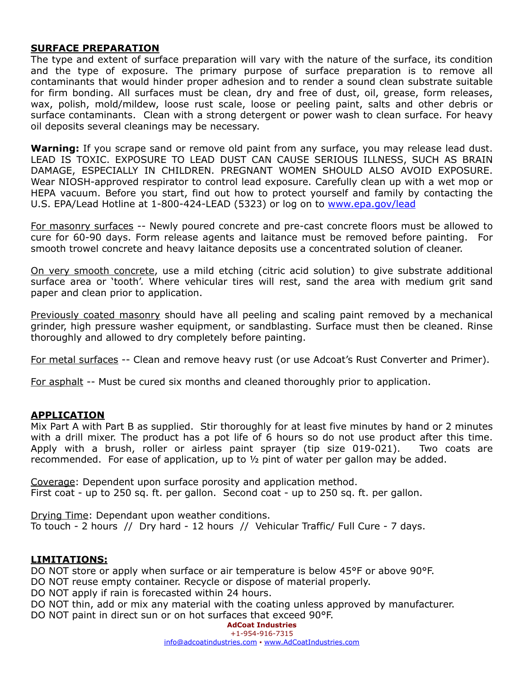### **SURFACE PREPARATION**

The type and extent of surface preparation will vary with the nature of the surface, its condition and the type of exposure. The primary purpose of surface preparation is to remove all contaminants that would hinder proper adhesion and to render a sound clean substrate suitable for firm bonding. All surfaces must be clean, dry and free of dust, oil, grease, form releases, wax, polish, mold/mildew, loose rust scale, loose or peeling paint, salts and other debris or surface contaminants. Clean with a strong detergent or power wash to clean surface. For heavy oil deposits several cleanings may be necessary.

**Warning:** If you scrape sand or remove old paint from any surface, you may release lead dust. LEAD IS TOXIC. EXPOSURE TO LEAD DUST CAN CAUSE SERIOUS ILLNESS, SUCH AS BRAIN DAMAGE, ESPECIALLY IN CHILDREN. PREGNANT WOMEN SHOULD ALSO AVOID EXPOSURE. Wear NIOSH-approved respirator to control lead exposure. Carefully clean up with a wet mop or HEPA vacuum. Before you start, find out how to protect yourself and family by contacting the U.S. EPA/Lead Hotline at 1-800-424-LEAD (5323) or log on to [www.epa.gov/lead](http://www.epa.gov/lead)

For masonry surfaces -- Newly poured concrete and pre-cast concrete floors must be allowed to cure for 60-90 days. Form release agents and laitance must be removed before painting. For smooth trowel concrete and heavy laitance deposits use a concentrated solution of cleaner.

On very smooth concrete, use a mild etching (citric acid solution) to give substrate additional surface area or 'tooth'. Where vehicular tires will rest, sand the area with medium grit sand paper and clean prior to application.

Previously coated masonry should have all peeling and scaling paint removed by a mechanical grinder, high pressure washer equipment, or sandblasting. Surface must then be cleaned. Rinse thoroughly and allowed to dry completely before painting.

For metal surfaces -- Clean and remove heavy rust (or use Adcoat's Rust Converter and Primer).

For asphalt -- Must be cured six months and cleaned thoroughly prior to application.

### **APPLICATION**

Mix Part A with Part B as supplied. Stir thoroughly for at least five minutes by hand or 2 minutes with a drill mixer. The product has a pot life of 6 hours so do not use product after this time. Apply with a brush, roller or airless paint sprayer (tip size 019-021). Two coats are recommended. For ease of application, up to ½ pint of water per gallon may be added.

Coverage: Dependent upon surface porosity and application method. First coat - up to 250 sq. ft. per gallon. Second coat - up to 250 sq. ft. per gallon.

Drying Time: Dependant upon weather conditions. To touch - 2 hours // Dry hard - 12 hours // Vehicular Traffic/ Full Cure - 7 days.

### **LIMITATIONS:**

DO NOT store or apply when surface or air temperature is below 45°F or above 90°F.

DO NOT reuse empty container. Recycle or dispose of material properly.

DO NOT apply if rain is forecasted within 24 hours.

DO NOT thin, add or mix any material with the coating unless approved by manufacturer.

DO NOT paint in direct sun or on hot surfaces that exceed 90°F.

#### **AdCoat Industries**  +1-954-916-7315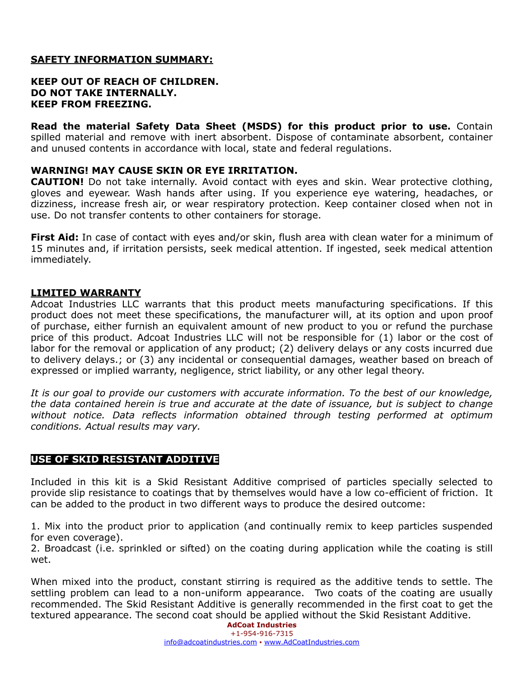## **SAFETY INFORMATION SUMMARY:**

### **KEEP OUT OF REACH OF CHILDREN. DO NOT TAKE INTERNALLY. KEEP FROM FREEZING.**

**Read the material Safety Data Sheet (MSDS) for this product prior to use.** Contain spilled material and remove with inert absorbent. Dispose of contaminate absorbent, container and unused contents in accordance with local, state and federal regulations.

### **WARNING! MAY CAUSE SKIN OR EYE IRRITATION.**

**CAUTION!** Do not take internally. Avoid contact with eyes and skin. Wear protective clothing, gloves and eyewear. Wash hands after using. If you experience eye watering, headaches, or dizziness, increase fresh air, or wear respiratory protection. Keep container closed when not in use. Do not transfer contents to other containers for storage.

**First Aid:** In case of contact with eyes and/or skin, flush area with clean water for a minimum of 15 minutes and, if irritation persists, seek medical attention. If ingested, seek medical attention immediately.

### **LIMITED WARRANTY**

Adcoat Industries LLC warrants that this product meets manufacturing specifications. If this product does not meet these specifications, the manufacturer will, at its option and upon proof of purchase, either furnish an equivalent amount of new product to you or refund the purchase price of this product. Adcoat Industries LLC will not be responsible for (1) labor or the cost of labor for the removal or application of any product; (2) delivery delays or any costs incurred due to delivery delays.; or (3) any incidental or consequential damages, weather based on breach of expressed or implied warranty, negligence, strict liability, or any other legal theory.

*It is our goal to provide our customers with accurate information. To the best of our knowledge, the data contained herein is true and accurate at the date of issuance, but is subject to change without notice. Data reflects information obtained through testing performed at optimum conditions. Actual results may vary.* 

### **USE OF SKID RESISTANT ADDITIVE**

Included in this kit is a Skid Resistant Additive comprised of particles specially selected to provide slip resistance to coatings that by themselves would have a low co-efficient of friction. It can be added to the product in two different ways to produce the desired outcome:

1. Mix into the product prior to application (and continually remix to keep particles suspended for even coverage).

2. Broadcast (i.e. sprinkled or sifted) on the coating during application while the coating is still wet.

When mixed into the product, constant stirring is required as the additive tends to settle. The settling problem can lead to a non-uniform appearance. Two coats of the coating are usually recommended. The Skid Resistant Additive is generally recommended in the first coat to get the textured appearance. The second coat should be applied without the Skid Resistant Additive.